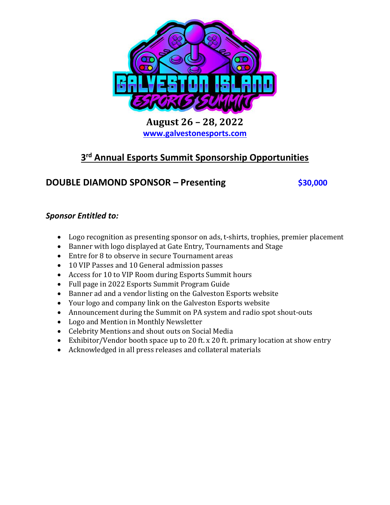

**August 26 – 28, 2022 [www.galvestonesports.com](http://www.galvestonesports.com/)**

# **3 rd Annual Esports Summit Sponsorship Opportunities**

# **DOUBLE DIAMOND SPONSOR – Presenting \$30,000**

### *Sponsor Entitled to:*

- Logo recognition as presenting sponsor on ads, t-shirts, trophies, premier placement
- Banner with logo displayed at Gate Entry, Tournaments and Stage
- Entre for 8 to observe in secure Tournament areas
- 10 VIP Passes and 10 General admission passes
- Access for 10 to VIP Room during Esports Summit hours
- Full page in 2022 Esports Summit Program Guide
- Banner ad and a vendor listing on the Galveston Esports website
- Your logo and company link on the Galveston Esports website
- Announcement during the Summit on PA system and radio spot shout-outs
- Logo and Mention in Monthly Newsletter
- Celebrity Mentions and shout outs on Social Media
- Exhibitor/Vendor booth space up to 20 ft. x 20 ft. primary location at show entry
- Acknowledged in all press releases and collateral materials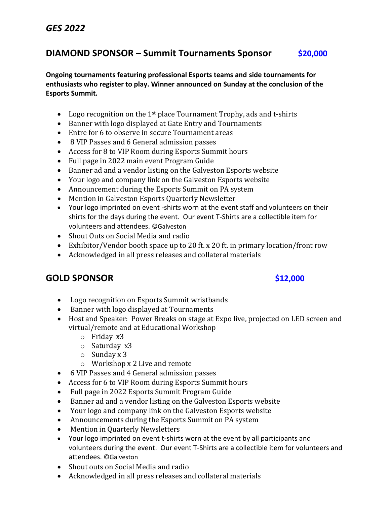## *GES 2022*

### **DIAMOND SPONSOR – Summit Tournaments Sponsor \$20,000**

**Ongoing tournaments featuring professional Esports teams and side tournaments for enthusiasts who register to play. Winner announced on Sunday at the conclusion of the Esports Summit.** 

- Logo recognition on the 1<sup>st</sup> place Tournament Trophy, ads and t-shirts
- Banner with logo displayed at Gate Entry and Tournaments
- Entre for 6 to observe in secure Tournament areas
- 8 VIP Passes and 6 General admission passes
- Access for 8 to VIP Room during Esports Summit hours
- Full page in 2022 main event Program Guide
- Banner ad and a vendor listing on the Galveston Esports website
- Your logo and company link on the Galveston Esports website
- Announcement during the Esports Summit on PA system
- Mention in Galveston Esports Quarterly Newsletter
- Your logo imprinted on event -shirts worn at the event staff and volunteers on their shirts for the days during the event. Our event T-Shirts are a collectible item for volunteers and attendees. ©Galveston
- Shout Outs on Social Media and radio
- Exhibitor/Vendor booth space up to 20 ft. x 20 ft. in primary location/front row
- Acknowledged in all press releases and collateral materials

### **GOLD SPONSOR \$12,000**

- Logo recognition on Esports Summit wristbands
- Banner with logo displayed at Tournaments
- Host and Speaker: Power Breaks on stage at Expo live, projected on LED screen and virtual/remote and at Educational Workshop
	- o Friday x3
	- o Saturday x3
	- o Sunday x 3
	- o Workshop x 2 Live and remote
- 6 VIP Passes and 4 General admission passes
- Access for 6 to VIP Room during Esports Summit hours
- Full page in 2022 Esports Summit Program Guide
- Banner ad and a vendor listing on the Galveston Esports website
- Your logo and company link on the Galveston Esports website
- Announcements during the Esports Summit on PA system
- Mention in Quarterly Newsletters
- Your logo imprinted on event t-shirts worn at the event by all participants and volunteers during the event. Our event T-Shirts are a collectible item for volunteers and attendees. ©Galveston
- Shout outs on Social Media and radio
- Acknowledged in all press releases and collateral materials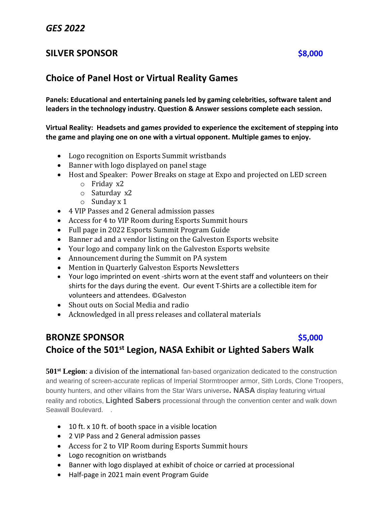### *GES 2022*

### **SILVER SPONSOR \$8,000**

### **Choice of Panel Host or Virtual Reality Games**

**Panels: Educational and entertaining panels led by gaming celebrities, software talent and leaders in the technology industry. Question & Answer sessions complete each session.** 

**Virtual Reality: Headsets and games provided to experience the excitement of stepping into the game and playing one on one with a virtual opponent. Multiple games to enjoy.** 

- Logo recognition on Esports Summit wristbands
- Banner with logo displayed on panel stage
- Host and Speaker: Power Breaks on stage at Expo and projected on LED screen
	- o Friday x2
	- o Saturday x2
	- o Sunday x 1
- 4 VIP Passes and 2 General admission passes
- Access for 4 to VIP Room during Esports Summit hours
- Full page in 2022 Esports Summit Program Guide
- Banner ad and a vendor listing on the Galveston Esports website
- Your logo and company link on the Galveston Esports website
- Announcement during the Summit on PA system
- Mention in Quarterly Galveston Esports Newsletters
- Your logo imprinted on event -shirts worn at the event staff and volunteers on their shirts for the days during the event. Our event T-Shirts are a collectible item for volunteers and attendees. ©Galveston
- Shout outs on Social Media and radio
- Acknowledged in all press releases and collateral materials

# **BRONZE SPONSOR** *S5,000* **Choice of the 501st Legion, NASA Exhibit or Lighted Sabers Walk**

**501st Legion**: a division of the international fan-based organization dedicated to the construction and wearing of screen-accurate replicas of Imperial Stormtrooper armor, Sith Lords, Clone Troopers, bounty hunters, and other villains from the Star Wars universe**. NASA** display featuring virtual reality and robotics, **Lighted Sabers** processional through the convention center and walk down Seawall Boulevard. .

- 10 ft. x 10 ft. of booth space in a visible location
- 2 VIP Pass and 2 General admission passes
- Access for 2 to VIP Room during Esports Summit hours
- Logo recognition on wristbands
- Banner with logo displayed at exhibit of choice or carried at processional
- Half-page in 2021 main event Program Guide